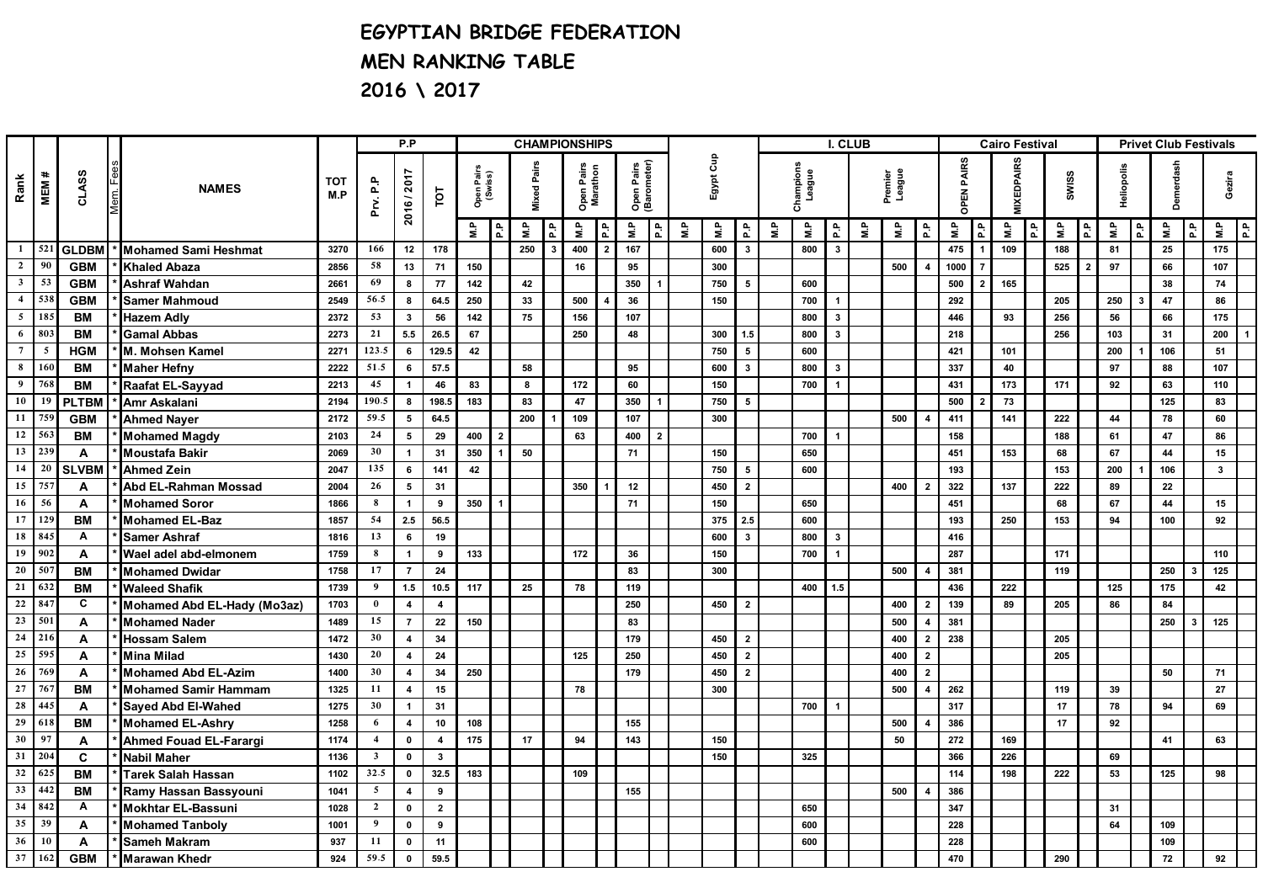## **EGYPTIAN BRIDGE FEDERATION MEN RANKING TABLE 2016 \ 2017**

|                         |                 |              | <b>NAMES</b>                  |                   |                         | P.P                     |                         |                       |                | <b>CHAMPIONSHIPS</b> |                    |     |                                                     |               |                |   |     |                         |    |     | I. CLUB                 |    |                    |                         |      |                   | <b>Cairo Festival</b> |       |     |                |     | <b>Privet Club Festivals</b> |            |                         |              |                |
|-------------------------|-----------------|--------------|-------------------------------|-------------------|-------------------------|-------------------------|-------------------------|-----------------------|----------------|----------------------|--------------------|-----|-----------------------------------------------------|---------------|----------------|---|-----|-------------------------|----|-----|-------------------------|----|--------------------|-------------------------|------|-------------------|-----------------------|-------|-----|----------------|-----|------------------------------|------------|-------------------------|--------------|----------------|
| Rank<br>MEM #           |                 | CLASS        |                               | <b>TOT</b><br>M.P | Prv. P.P                | 2016/2017               | TOT                     | Open Pairs<br>(Swiss) |                |                      | <b>Mixed Pairs</b> |     | Open Pairs<br>(Barometer)<br>Open Pairs<br>Marathon |               | Egypt Cup      |   |     | Champions<br>League     |    |     | Premier<br>League       |    |                    | <b>PAIRS</b><br>OPEN    |      | <b>MIXEDPAIRS</b> |                       | SWISS |     | Heliopolis     |     | Demerdash                    |            | Gezira                  |              |                |
|                         |                 |              |                               |                   |                         |                         |                         | e,                    | ゠              | ۹È                   | 운                  | 을   | 1운                                                  | $\frac{a}{2}$ | 윤              | 을 | å   | 휸                       | ۹È | ۹ì  | 운                       | ۹j | $\frac{P}{\Sigma}$ | 윤                       | ۹ù   | 운                 | ۹ì                    | d'd   | Ρà  | $\frac{a}{a}$  | ۹j  | P.F                          | Ρà         | P.                      | ۹'n          | 휸              |
|                         | $1 \mid 521$    | <b>GLDBM</b> | <b>Mohamed Sami Heshmat</b>   | 3270              | 166                     | 12                      | 178                     |                       |                | 250                  | $\mathbf{R}$       | 400 | $\overline{2}$                                      | 167           |                |   | 600 | $\overline{\mathbf{3}}$ |    | 800 | $\overline{\mathbf{3}}$ |    |                    |                         | 475  |                   | 109                   |       | 188 |                | 81  |                              | 25         |                         | 175          |                |
| $\mathbf{2}$            | 90              | <b>GBM</b>   | <b>Khaled Abaza</b>           | 2856              | 58                      | 13                      | 71                      | 150                   |                |                      |                    | 16  |                                                     | 95            |                |   | 300 |                         |    |     |                         |    | 500                | $\boldsymbol{4}$        | 1000 |                   |                       |       | 525 | $\overline{2}$ | 97  |                              | 66         |                         | 107          |                |
|                         | $3 \mid 53$     | <b>GBM</b>   | <b>Ashraf Wahdan</b>          | 2661              | 69                      | 8                       | 77                      | 142                   |                | 42                   |                    |     |                                                     | 350           |                |   | 750 | 5                       |    | 600 |                         |    |                    |                         | 500  | $\overline{2}$    | 165                   |       |     |                |     |                              | 38         |                         | 74           |                |
| $\overline{\mathbf{4}}$ | 538             | <b>GBM</b>   | <b>Samer Mahmoud</b>          | 2549              | 56.5                    | 8                       | 64.5                    | 250                   |                | 33                   |                    | 500 |                                                     | 36            |                |   | 150 |                         |    | 700 |                         |    |                    |                         | 292  |                   |                       |       | 205 |                | 250 |                              | 47         |                         | 86           |                |
| $5\overline{ }$         | 185             | <b>BM</b>    | <b>Hazem Adly</b>             | 2372              | 53                      | $\mathbf{3}$            | 56                      | 142                   |                | 75                   |                    | 156 |                                                     | 107           |                |   |     |                         |    | 800 | $\overline{\mathbf{3}}$ |    |                    |                         | 446  |                   | 93                    |       | 256 |                | 56  |                              | 66         |                         | 175          |                |
| 6                       | 803             | $B$ M        | <b>Gamal Abbas</b>            | 2273              | 21                      | 5.5                     | 26.5                    | 67                    |                |                      |                    | 250 |                                                     | 48            |                |   | 300 | 1.5                     |    | 800 | $\overline{\mathbf{3}}$ |    |                    |                         | 218  |                   |                       |       | 256 |                | 103 |                              | 31         |                         | 200          | $\overline{1}$ |
| $\overline{7}$          | $\overline{5}$  | <b>HGM</b>   | M. Mohsen Kamel               | 2271              | 123.5                   | $6\overline{6}$         | 129.5                   | 42                    |                |                      |                    |     |                                                     |               |                |   | 750 | 5                       |    | 600 |                         |    |                    |                         | 421  |                   | 101                   |       |     |                | 200 |                              | 106        |                         | 51           |                |
| 8                       | 160             | <b>BM</b>    | <b>Maher Hefny</b>            | 2222              | 51.5                    | 6                       | 57.5                    |                       |                | 58                   |                    |     |                                                     | 95            |                |   | 600 | $\overline{\mathbf{3}}$ |    | 800 | $\mathbf{3}$            |    |                    |                         | 337  |                   | 40                    |       |     |                | 97  |                              | 88         |                         | 107          |                |
| $\boldsymbol{9}$        | 768             | <b>BM</b>    | Raafat EL-Sayyad              | 2213              | 45                      | $\mathbf{1}$            | 46                      | 83                    |                | 8                    |                    | 172 |                                                     | 60            |                |   | 150 |                         |    | 700 | $\overline{\mathbf{1}}$ |    |                    |                         | 431  |                   | 173                   |       | 171 |                | 92  |                              | 63         |                         | 110          |                |
| $10-1$                  | 19              | <b>PLTBM</b> | Amr Askalani                  | 2194              | 190.5                   | 8                       | 198.5                   | 183                   |                | 83                   |                    | 47  |                                                     | 350           |                |   | 750 | 5                       |    |     |                         |    |                    |                         | 500  |                   | 73                    |       |     |                |     |                              | 125        |                         | 83           |                |
|                         | $11 \mid 759$   | <b>GBM</b>   | <b>Ahmed Nayer</b>            | 2172              | 59.5                    | $5\overline{5}$         | 64.5                    |                       |                | 200                  |                    | 109 |                                                     | 107           |                |   | 300 |                         |    |     |                         |    | 500                |                         | 411  |                   | 141                   |       | 222 |                | 44  |                              | 78         |                         | 60           |                |
|                         | 12   563        | <b>BM</b>    | <b>Mohamed Magdy</b>          | 2103              | 24                      | 5 <sub>5</sub>          | 29                      | 400                   | $\overline{2}$ |                      |                    | 63  |                                                     | 400           | $\overline{2}$ |   |     |                         |    | 700 |                         |    |                    |                         | 158  |                   |                       |       | 188 |                | 61  |                              | 47         |                         | 86           |                |
| 13                      | 239             | A            | <b>Moustafa Bakir</b>         | 2069              | 30                      | $\mathbf{1}$            | 31                      | 350                   |                | 50                   |                    |     |                                                     | 71            |                |   | 150 |                         |    | 650 |                         |    |                    |                         | 451  |                   | 153                   |       | 68  |                | 67  |                              | 44         |                         | 15           |                |
| $14 \mid 20$            |                 | <b>SLVBM</b> | <b>Ahmed Zein</b>             | 2047              | 135                     | 6                       | 141                     | 42                    |                |                      |                    |     |                                                     |               |                |   | 750 | 5                       |    | 600 |                         |    |                    |                         | 193  |                   |                       |       | 153 |                | 200 |                              | 106        |                         | $\mathbf{3}$ |                |
| 15                      | 175             | A            | <b>Abd EL-Rahman Mossad</b>   | 2004              | 26                      | $5\phantom{a}$          | 31                      |                       |                |                      |                    | 350 |                                                     | 12            |                |   | 450 | $\overline{2}$          |    |     |                         |    | 400                | $\overline{2}$          | 322  |                   | 137                   |       | 222 |                | 89  |                              | ${\bf 22}$ |                         |              |                |
| 16                      | 56              | A            | <b>Mohamed Soror</b>          | 1866              | 8                       | $\mathbf{1}$            | 9                       | 350                   | $\overline{1}$ |                      |                    |     |                                                     | 71            |                |   | 150 |                         |    | 650 |                         |    |                    |                         | 451  |                   |                       |       | 68  |                | 67  |                              | 44         |                         | 15           |                |
|                         | $17$   129      | <b>BM</b>    | <b>Mohamed EL-Baz</b>         | 1857              | 54                      | 2.5                     | 56.5                    |                       |                |                      |                    |     |                                                     |               |                |   | 375 | 2.5                     |    | 600 |                         |    |                    |                         | 193  |                   | 250                   |       | 153 |                | 94  |                              | 100        |                         | 92           |                |
|                         | 18 845          | A            | <b>Samer Ashraf</b>           | 1816              | 13                      | 6                       | 19                      |                       |                |                      |                    |     |                                                     |               |                |   | 600 | $\overline{\mathbf{3}}$ |    | 800 | $\mathbf{3}$            |    |                    |                         | 416  |                   |                       |       |     |                |     |                              |            |                         |              |                |
| 19                      | 902             | A            | Wael adel abd-elmonem         | 1759              | 8                       | $\overline{1}$          | 9                       | 133                   |                |                      |                    | 172 |                                                     | 36            |                |   | 150 |                         |    | 700 |                         |    |                    |                         | 287  |                   |                       |       | 171 |                |     |                              |            |                         | 110          |                |
| 20                      | 507             | <b>BM</b>    | <b>Mohamed Dwidar</b>         | 1758              | 17                      | $\overline{7}$          | 24                      |                       |                |                      |                    |     |                                                     | 83            |                |   | 300 |                         |    |     |                         |    | 500                | $\overline{4}$          | 381  |                   |                       |       | 119 |                |     |                              | 250        |                         | 125          |                |
|                         | $21 \mid 632$   | <b>BM</b>    | <b>Waleed Shafik</b>          | 1739              | 9                       | 1.5                     | 10.5                    | 117                   |                | 25                   |                    | 78  |                                                     | 119           |                |   |     |                         |    | 400 | 1.5                     |    |                    |                         | 436  |                   | 222                   |       |     |                | 125 |                              | 175        |                         | 42           |                |
| $\bf{22}$               | 84              | C            | Mohamed Abd EL-Hady (Mo3az)   | 1703              | $\bf{0}$                | $\overline{\mathbf{4}}$ | $\overline{\mathbf{4}}$ |                       |                |                      |                    |     |                                                     | 250           |                |   | 450 | $\overline{2}$          |    |     |                         |    | 400                | $\overline{\mathbf{2}}$ | 139  |                   | 89                    |       | 205 |                | 86  |                              | 84         |                         |              |                |
| 23                      | 501             | A            | <b>Mohamed Nader</b>          | 1489              | 15                      | $\overline{7}$          | 22                      | 150                   |                |                      |                    |     |                                                     | 83            |                |   |     |                         |    |     |                         |    | 500                | $\overline{4}$          | 381  |                   |                       |       |     |                |     |                              | 250        | $\overline{\mathbf{3}}$ | 125          |                |
| 24                      | 216             | A            | <b>Hossam Salem</b>           | 1472              | 30                      | $\overline{\mathbf{4}}$ | 34                      |                       |                |                      |                    |     |                                                     | 179           |                |   | 450 | $\overline{2}$          |    |     |                         |    | 400                | $\mathbf{2}$            | 238  |                   |                       |       | 205 |                |     |                              |            |                         |              |                |
| 25                      | 595             | A            | Mina Milad                    | 1430              | 20                      | $\overline{4}$          | 24                      |                       |                |                      |                    | 125 |                                                     | 250           |                |   | 450 | $\overline{2}$          |    |     |                         |    | 400                | $\overline{2}$          |      |                   |                       |       | 205 |                |     |                              |            |                         |              |                |
| 26                      | 769             | A            | <b>Mohamed Abd EL-Azim</b>    | 1400              | 30                      | $\overline{\mathbf{4}}$ | 34                      | 250                   |                |                      |                    |     |                                                     | 179           |                |   | 450 | $\overline{2}$          |    |     |                         |    | 400                | $\overline{2}$          |      |                   |                       |       |     |                |     |                              | 50         |                         | 71           |                |
| 27                      | 767             | <b>BM</b>    | <b>Mohamed Samir Hammam</b>   | 1325              | 11                      | $\overline{4}$          | 15                      |                       |                |                      |                    | 78  |                                                     |               |                |   | 300 |                         |    |     |                         |    | 500                | $\overline{4}$          | 262  |                   |                       |       | 119 |                | 39  |                              |            |                         | 27           |                |
| 28                      | 445             | A            | Sayed Abd El-Wahed            | 1275              | 30                      | $\mathbf{1}$            | 31                      |                       |                |                      |                    |     |                                                     |               |                |   |     |                         |    | 700 | $\overline{\mathbf{1}}$ |    |                    |                         | 317  |                   |                       |       | 17  |                | 78  |                              | 94         |                         | 69           |                |
| 29                      | 618             | <b>BM</b>    | <b>Mohamed EL-Ashry</b>       | 1258              | 6                       | $\overline{4}$          | 10                      | 108                   |                |                      |                    |     |                                                     | 155           |                |   |     |                         |    |     |                         |    | 500                | $\overline{4}$          | 386  |                   |                       |       | 17  |                | 92  |                              |            |                         |              |                |
| 30                      | 97              | A            | <b>Ahmed Fouad EL-Farargi</b> | 1174              | $\overline{\mathbf{4}}$ | $\pmb{0}$               | 4                       | 175                   |                | 17                   |                    | 94  |                                                     | 143           |                |   | 150 |                         |    |     |                         |    | 50                 |                         | 272  |                   | 169                   |       |     |                |     |                              | 41         |                         | 63           |                |
| 31                      | 20 <sub>4</sub> | C            | <b>Nabil Maher</b>            | 1136              | $\overline{\mathbf{3}}$ | $\mathbf 0$             | $\overline{\mathbf{3}}$ |                       |                |                      |                    |     |                                                     |               |                |   | 150 |                         |    | 325 |                         |    |                    |                         | 366  |                   | 226                   |       |     |                | 69  |                              |            |                         |              |                |
|                         | 32 625          | <b>BM</b>    | <b>Tarek Salah Hassan</b>     | 1102              | 32.5                    | $\mathbf{0}$            | 32.5                    | 183                   |                |                      |                    | 109 |                                                     |               |                |   |     |                         |    |     |                         |    |                    |                         | 114  |                   | 198                   |       | 222 |                | 53  |                              | 125        |                         | 98           |                |
| 33                      | 442             | <b>BM</b>    | Ramy Hassan Bassyouni         | 1041              | $5^{\circ}$             | $\overline{4}$          | 9                       |                       |                |                      |                    |     |                                                     | 155           |                |   |     |                         |    |     |                         |    | 500                | $\boldsymbol{4}$        | 386  |                   |                       |       |     |                |     |                              |            |                         |              |                |
| 34                      | 842             | A            | Mokhtar EL-Bassuni            | 1028              | $\overline{2}$          | $\mathbf 0$             | $\mathbf{2}$            |                       |                |                      |                    |     |                                                     |               |                |   |     |                         |    | 650 |                         |    |                    |                         | 347  |                   |                       |       |     |                | 31  |                              |            |                         |              |                |
| $35 \mid 39$            |                 | A            | <b>Mohamed Tanboly</b>        | 1001              | 9                       | $\mathbf 0$             | 9                       |                       |                |                      |                    |     |                                                     |               |                |   |     |                         |    | 600 |                         |    |                    |                         | 228  |                   |                       |       |     |                | 64  |                              | 109        |                         |              |                |
| 36                      | 10              | A            | <b>Sameh Makram</b>           | 937               | 11                      | $\mathbf 0$             | 11                      |                       |                |                      |                    |     |                                                     |               |                |   |     |                         |    | 600 |                         |    |                    |                         | 228  |                   |                       |       |     |                |     |                              | 109        |                         |              |                |
| 37                      | 162             | <b>GBM</b>   | <b>Marawan Khedr</b>          | 924               | 59.5                    | $\mathbf{0}$            | 59.5                    |                       |                |                      |                    |     |                                                     |               |                |   |     |                         |    |     |                         |    |                    |                         | 470  |                   |                       |       | 290 |                |     |                              | 72         |                         | 92           |                |